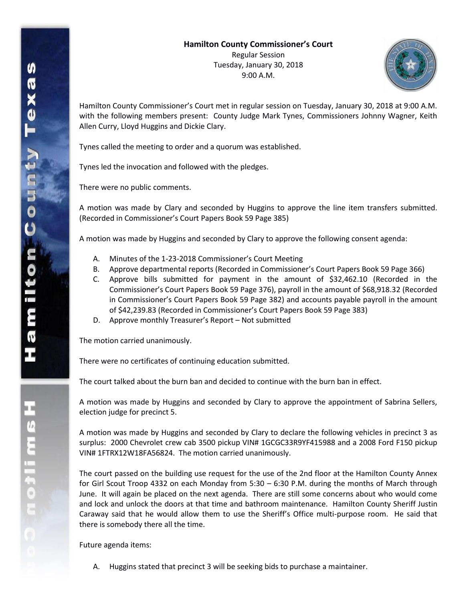

Hamilton County Commissioner's Court met in regular session on Tuesday, January 30, 2018 at 9:00 A.M. with the following members present: County Judge Mark Tynes, Commissioners Johnny Wagner, Keith Allen Curry, Lloyd Huggins and Dickie Clary.

Tynes called the meeting to order and a quorum was established.

Tynes led the invocation and followed with the pledges.

There were no public comments.

A motion was made by Clary and seconded by Huggins to approve the line item transfers submitted. (Recorded in Commissioner's Court Papers Book 59 Page 385)

A motion was made by Huggins and seconded by Clary to approve the following consent agenda:

- A. Minutes of the 1-23-2018 Commissioner's Court Meeting
- B. Approve departmental reports (Recorded in Commissioner's Court Papers Book 59 Page 366)
- C. Approve bills submitted for payment in the amount of \$32,462.10 (Recorded in the Commissioner's Court Papers Book 59 Page 376), payroll in the amount of \$68,918.32 (Recorded in Commissioner's Court Papers Book 59 Page 382) and accounts payable payroll in the amount of \$42,239.83 (Recorded in Commissioner's Court Papers Book 59 Page 383)
- D. Approve monthly Treasurer's Report Not submitted

The motion carried unanimously.

There were no certificates of continuing education submitted.

The court talked about the burn ban and decided to continue with the burn ban in effect.

A motion was made by Huggins and seconded by Clary to approve the appointment of Sabrina Sellers, election judge for precinct 5.

A motion was made by Huggins and seconded by Clary to declare the following vehicles in precinct 3 as surplus: 2000 Chevrolet crew cab 3500 pickup VIN# 1GCGC33R9YF415988 and a 2008 Ford F150 pickup VIN# 1FTRX12W18FA56824. The motion carried unanimously.

The court passed on the building use request for the use of the 2nd floor at the Hamilton County Annex for Girl Scout Troop 4332 on each Monday from 5:30 – 6:30 P.M. during the months of March through June. It will again be placed on the next agenda. There are still some concerns about who would come and lock and unlock the doors at that time and bathroom maintenance. Hamilton County Sheriff Justin Caraway said that he would allow them to use the Sheriff's Office multi-purpose room. He said that there is somebody there all the time.

Future agenda items:

A. Huggins stated that precinct 3 will be seeking bids to purchase a maintainer.

エムミニャクこ